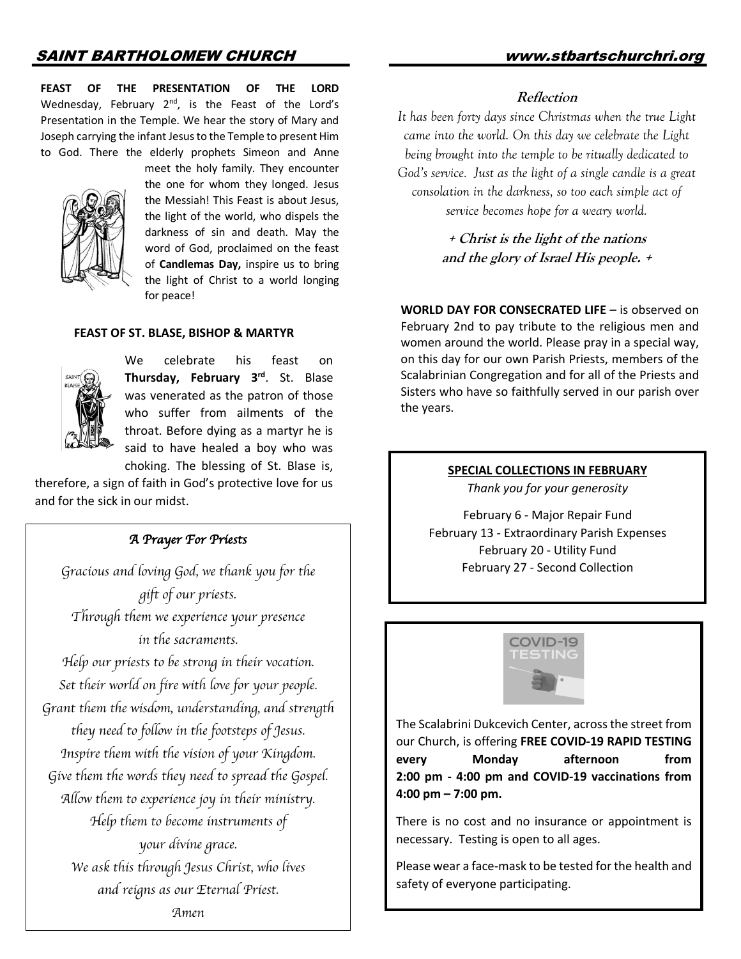**FEAST OF THE PRESENTATION OF THE LORD** Wednesday, February  $2^{nd}$ , is the Feast of the Lord's Presentation in the Temple. We hear the story of Mary and Joseph carrying the infant Jesus to the Temple to present Him to God. There the elderly prophets Simeon and Anne



 meet the holy family. They encounter the one for whom they longed. Jesus the Messiah! This Feast is about Jesus, the light of the world, who dispels the darkness of sin and death. May the word of God, proclaimed on the feast of **Candlemas Day,** inspire us to bring the light of Christ to a world longing for peace!

#### **FEAST OF ST. BLASE, BISHOP & MARTYR**



 We celebrate his feast on **Thursday, February 3rd**. St. Blase was venerated as the patron of those who suffer from ailments of the throat. Before dying as a martyr he is said to have healed a boy who was choking. The blessing of St. Blase is,

therefore, a sign of faith in God's protective love for us and for the sick in our midst.

#### *A Prayer For Priests*

*Gracious and loving God, we thank you for the gift of our priests. Through them we experience your presence in the sacraments. Help our priests to be strong in their vocation. Set their world on fire with love for your people. Grant them the wisdom, understanding, and strength they need to follow in the footsteps of Jesus. Inspire them with the vision of your Kingdom. Give them the words they need to spread the Gospel. Allow them to experience joy in their ministry. Help them to become instruments of your divine grace. We ask this through Jesus Christ, who lives and reigns as our Eternal Priest. Amen*

### **Reflection**

*It has been forty days since Christmas when the true Light came into the world. On this day we celebrate the Light being brought into the temple to be ritually dedicated to God's service. Just as the light of a single candle is a great consolation in the darkness, so too each simple act of service becomes hope for a weary world.*

> **+ Christ is the light of the nations and the glory of Israel His people. +**

**WORLD DAY FOR CONSECRATED LIFE** – is observed on February 2nd to pay tribute to the religious men and women around the world. Please pray in a special way, on this day for our own Parish Priests, members of the Scalabrinian Congregation and for all of the Priests and Sisters who have so faithfully served in our parish over the years.

## **SPECIAL COLLECTIONS IN FEBRUARY**

*Thank you for your generosity*

February 6 - Major Repair Fund February 13 - Extraordinary Parish Expenses February 20 - Utility Fund February 27 - Second Collection



The Scalabrini Dukcevich Center, across the street from our Church, is offering **FREE COVID-19 RAPID TESTING every Monday afternoon from 2:00 pm - 4:00 pm and COVID-19 vaccinations from 4:00 pm – 7:00 pm.** 

There is no cost and no insurance or appointment is necessary. Testing is open to all ages.

Please wear a face-mask to be tested for the health and safety of everyone participating.